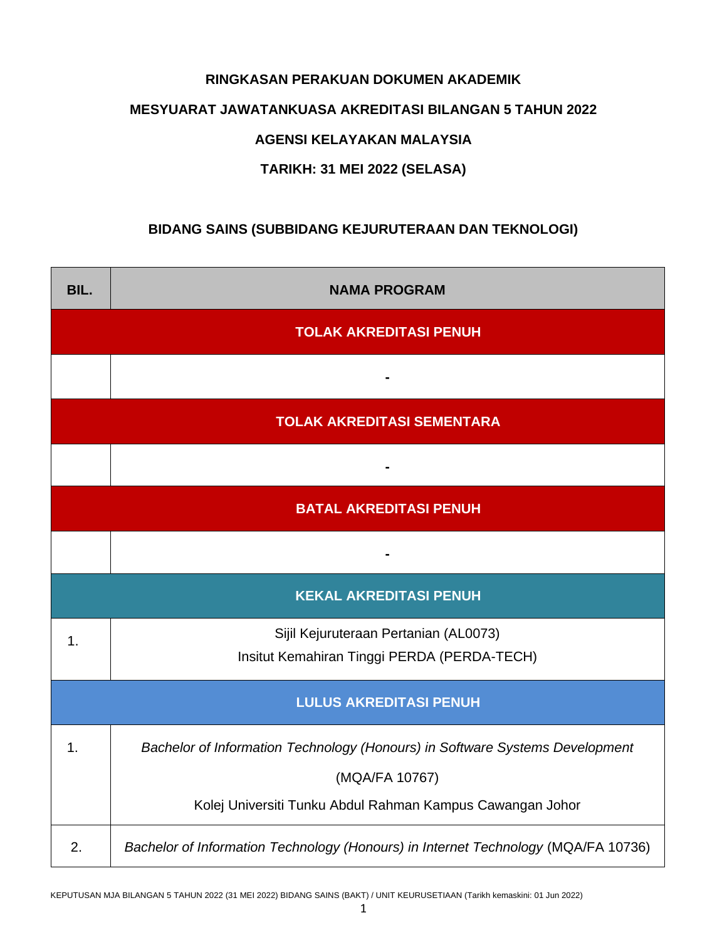### **RINGKASAN PERAKUAN DOKUMEN AKADEMIK**

#### **MESYUARAT JAWATANKUASA AKREDITASI BILANGAN 5 TAHUN 2022**

### **AGENSI KELAYAKAN MALAYSIA**

## **TARIKH: 31 MEI 2022 (SELASA)**

# **BIDANG SAINS (SUBBIDANG KEJURUTERAAN DAN TEKNOLOGI)**

| BIL.                              | <b>NAMA PROGRAM</b>                                                                  |  |  |  |
|-----------------------------------|--------------------------------------------------------------------------------------|--|--|--|
|                                   | <b>TOLAK AKREDITASI PENUH</b>                                                        |  |  |  |
|                                   |                                                                                      |  |  |  |
| <b>TOLAK AKREDITASI SEMENTARA</b> |                                                                                      |  |  |  |
|                                   |                                                                                      |  |  |  |
| <b>BATAL AKREDITASI PENUH</b>     |                                                                                      |  |  |  |
|                                   |                                                                                      |  |  |  |
| <b>KEKAL AKREDITASI PENUH</b>     |                                                                                      |  |  |  |
| $\mathbf 1$ .                     | Sijil Kejuruteraan Pertanian (AL0073)<br>Insitut Kemahiran Tinggi PERDA (PERDA-TECH) |  |  |  |
| <b>LULUS AKREDITASI PENUH</b>     |                                                                                      |  |  |  |
| 1.                                | Bachelor of Information Technology (Honours) in Software Systems Development         |  |  |  |
|                                   | (MQA/FA 10767)                                                                       |  |  |  |
|                                   | Kolej Universiti Tunku Abdul Rahman Kampus Cawangan Johor                            |  |  |  |
| 2.                                | Bachelor of Information Technology (Honours) in Internet Technology (MQA/FA 10736)   |  |  |  |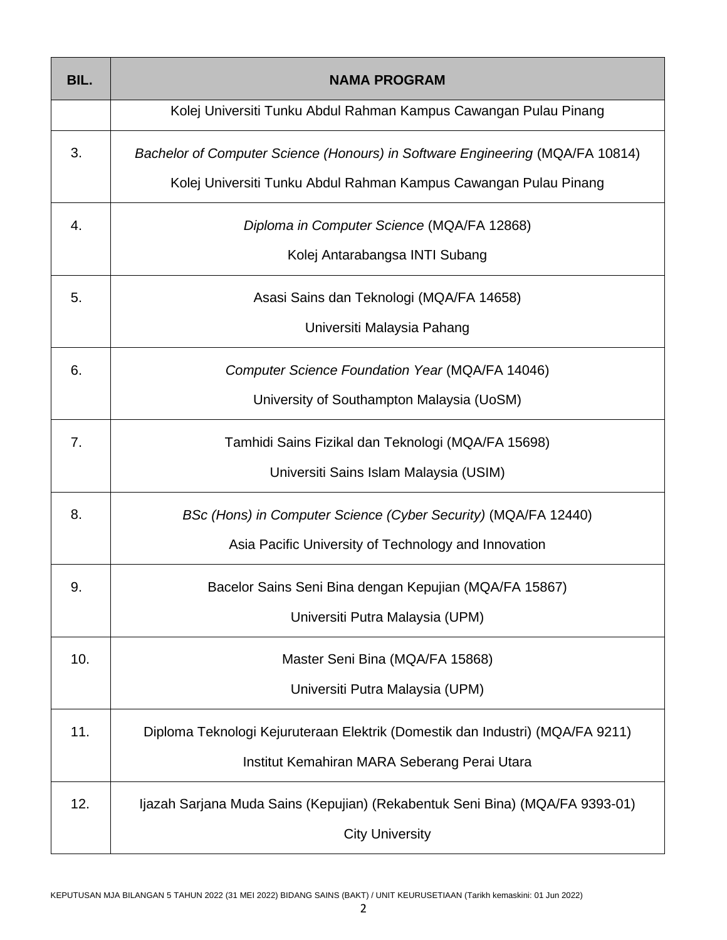| BIL. | <b>NAMA PROGRAM</b>                                                                                                                               |  |  |
|------|---------------------------------------------------------------------------------------------------------------------------------------------------|--|--|
|      | Kolej Universiti Tunku Abdul Rahman Kampus Cawangan Pulau Pinang                                                                                  |  |  |
| 3.   | Bachelor of Computer Science (Honours) in Software Engineering (MQA/FA 10814)<br>Kolej Universiti Tunku Abdul Rahman Kampus Cawangan Pulau Pinang |  |  |
| 4.   | Diploma in Computer Science (MQA/FA 12868)<br>Kolej Antarabangsa INTI Subang                                                                      |  |  |
| 5.   | Asasi Sains dan Teknologi (MQA/FA 14658)<br>Universiti Malaysia Pahang                                                                            |  |  |
| 6.   | Computer Science Foundation Year (MQA/FA 14046)<br>University of Southampton Malaysia (UoSM)                                                      |  |  |
| 7.   | Tamhidi Sains Fizikal dan Teknologi (MQA/FA 15698)<br>Universiti Sains Islam Malaysia (USIM)                                                      |  |  |
| 8.   | BSc (Hons) in Computer Science (Cyber Security) (MQA/FA 12440)<br>Asia Pacific University of Technology and Innovation                            |  |  |
| 9    | Bacelor Sains Seni Bina dengan Kepujian (MQA/FA 15867)<br>Universiti Putra Malaysia (UPM)                                                         |  |  |
| 10.  | Master Seni Bina (MQA/FA 15868)<br>Universiti Putra Malaysia (UPM)                                                                                |  |  |
| 11.  | Diploma Teknologi Kejuruteraan Elektrik (Domestik dan Industri) (MQA/FA 9211)<br>Institut Kemahiran MARA Seberang Perai Utara                     |  |  |
| 12.  | Ijazah Sarjana Muda Sains (Kepujian) (Rekabentuk Seni Bina) (MQA/FA 9393-01)<br><b>City University</b>                                            |  |  |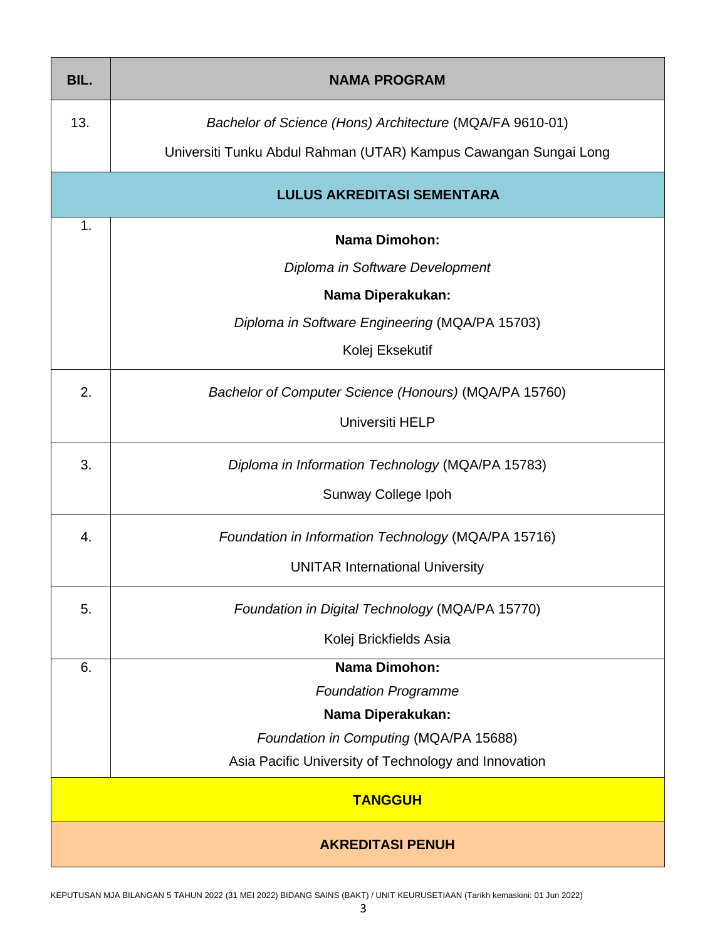| BIL.                              | <b>NAMA PROGRAM</b>                                              |  |  |  |
|-----------------------------------|------------------------------------------------------------------|--|--|--|
| 13.                               | Bachelor of Science (Hons) Architecture (MQA/FA 9610-01)         |  |  |  |
|                                   | Universiti Tunku Abdul Rahman (UTAR) Kampus Cawangan Sungai Long |  |  |  |
| <b>LULUS AKREDITASI SEMENTARA</b> |                                                                  |  |  |  |
| 1.                                | <b>Nama Dimohon:</b>                                             |  |  |  |
|                                   | Diploma in Software Development                                  |  |  |  |
| Nama Diperakukan:                 |                                                                  |  |  |  |
|                                   | Diploma in Software Engineering (MQA/PA 15703)                   |  |  |  |
| Kolej Eksekutif                   |                                                                  |  |  |  |
| 2.                                | Bachelor of Computer Science (Honours) (MQA/PA 15760)            |  |  |  |
|                                   | Universiti HELP                                                  |  |  |  |
| 3.                                | Diploma in Information Technology (MQA/PA 15783)                 |  |  |  |
|                                   | Sunway College Ipoh                                              |  |  |  |
| 4.                                | Foundation in Information Technology (MQA/PA 15716)              |  |  |  |
|                                   | <b>UNITAR International University</b>                           |  |  |  |
| 5.                                | Foundation in Digital Technology (MQA/PA 15770)                  |  |  |  |
|                                   | Kolej Brickfields Asia                                           |  |  |  |
| <b>Nama Dimohon:</b><br>6.        |                                                                  |  |  |  |
|                                   | <b>Foundation Programme</b>                                      |  |  |  |
|                                   | Nama Diperakukan:                                                |  |  |  |
|                                   | Foundation in Computing (MQA/PA 15688)                           |  |  |  |
|                                   | Asia Pacific University of Technology and Innovation             |  |  |  |
| <b>TANGGUH</b>                    |                                                                  |  |  |  |
| <b>AKREDITASI PENUH</b>           |                                                                  |  |  |  |